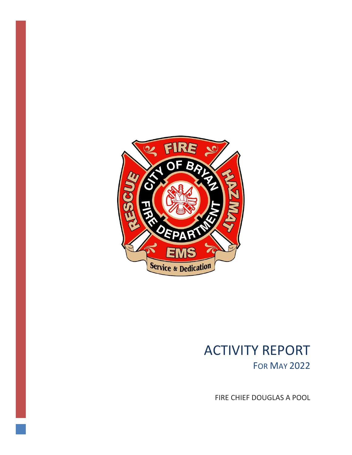

# ACTIVITY REPORT FOR MAY 2022

FIRE CHIEF DOUGLAS A POOL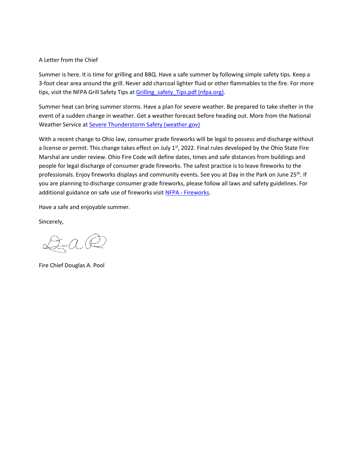#### A Letter from the Chief

Summer is here. It is time for grilling and BBQ. Have a safe summer by following simple safety tips. Keep a 3-foot clear area around the grill. Never add charcoal lighter fluid or other flammables to the fire. For more tips, visit the NFPA Grill Safety Tips at Grilling safety Tips.pdf (nfpa.org).

Summer heat can bring summer storms. Have a plan for severe weather. Be prepared to take shelter in the event of a sudden change in weather. Get a weather forecast before heading out. More from the National Weather Service at [Severe Thunderstorm Safety \(weather.gov\)](https://www.weather.gov/safety/thunderstorm)

With a recent change to Ohio law, consumer grade fireworks will be legal to possess and discharge without a license or permit. This change takes effect on July  $1<sup>st</sup>$ , 2022. Final rules developed by the Ohio State Fire Marshal are under review. Ohio Fire Code will define dates, times and safe distances from buildings and people for legal discharge of consumer grade fireworks. The safest practice is to leave fireworks to the professionals. Enjoy fireworks displays and community events. See you at Day in the Park on June 25<sup>th</sup>. If you are planning to discharge consumer grade fireworks, please follow all laws and safety guidelines. For additional guidance on safe use of fireworks visit NFPA - [Fireworks.](https://www.nfpa.org/Public-Education/Fire-causes-and-risks/Seasonal-fire-causes/Fireworks)

Have a safe and enjoyable summer.

Sincerely,

 $\exists a \& c$ 

Fire Chief Douglas A. Pool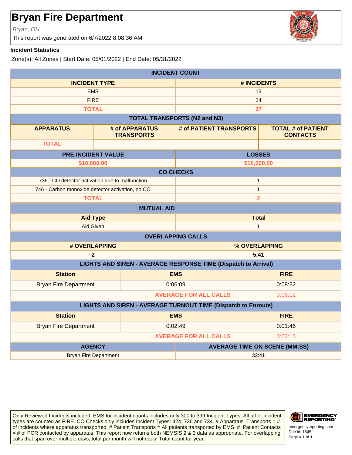Bryan, OH

This report was generated on 6/7/2022 8:08:36 AM



#### **Incident Statistics**

Zone(s): All Zones | Start Date: 05/01/2022 | End Date: 05/31/2022

| <b>INCIDENT COUNT</b>                                                |                              |                                      |                                                                       |               |                                              |  |
|----------------------------------------------------------------------|------------------------------|--------------------------------------|-----------------------------------------------------------------------|---------------|----------------------------------------------|--|
| <b>INCIDENT TYPE</b>                                                 |                              | # INCIDENTS                          |                                                                       |               |                                              |  |
| <b>EMS</b>                                                           |                              | 13                                   |                                                                       |               |                                              |  |
|                                                                      | <b>FIRE</b>                  |                                      |                                                                       | 24            |                                              |  |
| <b>TOTAL</b>                                                         |                              |                                      |                                                                       | 37            |                                              |  |
|                                                                      |                              |                                      | <b>TOTAL TRANSPORTS (N2 and N3)</b>                                   |               |                                              |  |
| <b>APPARATUS</b>                                                     |                              | # of APPARATUS<br><b>TRANSPORTS</b>  | # of PATIENT TRANSPORTS                                               |               | <b>TOTAL # of PATIENT</b><br><b>CONTACTS</b> |  |
| <b>TOTAL</b>                                                         |                              |                                      |                                                                       |               |                                              |  |
| <b>PRE-INCIDENT VALUE</b>                                            |                              |                                      |                                                                       | <b>LOSSES</b> |                                              |  |
| \$10,000.00                                                          |                              |                                      |                                                                       | \$10,000.00   |                                              |  |
|                                                                      |                              | <b>CO CHECKS</b>                     |                                                                       |               |                                              |  |
| 736 - CO detector activation due to malfunction                      |                              |                                      |                                                                       | $\mathbf{1}$  |                                              |  |
| 746 - Carbon monoxide detector activation, no CO                     |                              |                                      |                                                                       | $\mathbf{1}$  |                                              |  |
|                                                                      | <b>TOTAL</b>                 |                                      | $\overline{2}$                                                        |               |                                              |  |
|                                                                      | <b>MUTUAL AID</b>            |                                      |                                                                       |               |                                              |  |
| <b>Aid Type</b>                                                      |                              |                                      | <b>Total</b>                                                          |               |                                              |  |
| <b>Aid Given</b>                                                     |                              |                                      | $\mathbf{1}$                                                          |               |                                              |  |
|                                                                      |                              | <b>OVERLAPPING CALLS</b>             |                                                                       |               |                                              |  |
| # OVERLAPPING                                                        |                              |                                      |                                                                       | % OVERLAPPING |                                              |  |
| $\overline{2}$                                                       |                              | 5.41                                 |                                                                       |               |                                              |  |
|                                                                      |                              |                                      | <b>LIGHTS AND SIREN - AVERAGE RESPONSE TIME (Dispatch to Arrival)</b> |               |                                              |  |
| <b>Station</b>                                                       |                              |                                      | <b>EMS</b>                                                            |               | <b>FIRE</b>                                  |  |
| <b>Bryan Fire Department</b>                                         |                              |                                      | 0:06:09                                                               |               | 0:08:32                                      |  |
|                                                                      | <b>AVERAGE FOR ALL CALLS</b> |                                      |                                                                       |               | 0:06:02                                      |  |
| <b>LIGHTS AND SIREN - AVERAGE TURNOUT TIME (Dispatch to Enroute)</b> |                              |                                      |                                                                       |               |                                              |  |
| <b>Station</b>                                                       |                              | <b>EMS</b>                           |                                                                       |               | <b>FIRE</b>                                  |  |
| <b>Bryan Fire Department</b>                                         |                              |                                      | 0:02:49                                                               |               | 0:01:46                                      |  |
| <b>AVERAGE FOR ALL CALLS</b>                                         |                              |                                      | 0:02:15                                                               |               |                                              |  |
| <b>AGENCY</b>                                                        |                              | <b>AVERAGE TIME ON SCENE (MM:SS)</b> |                                                                       |               |                                              |  |
| <b>Bryan Fire Department</b>                                         |                              | 32:41                                |                                                                       |               |                                              |  |

Only Reviewed Incidents included. EMS for Incident counts includes only 300 to 399 Incident Types. All other incident types are counted as FIRE. CO Checks only includes Incident Types: 424, 736 and 734. # Apparatus Transports = # of incidents where apparatus transported. # Patient Transports = All patients transported by EMS. # Patient Contacts = # of PCR contacted by apparatus. This report now returns both NEMSIS 2 & 3 data as appropriate. For overlapping calls that span over multiple days, total per month will not equal Total count for year.



Doc Id: 1645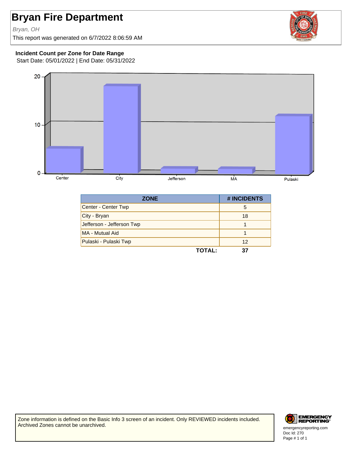Bryan, OH

This report was generated on 6/7/2022 8:06:59 AM



#### **Incident Count per Zone for Date Range**

Start Date: 05/01/2022 | End Date: 05/31/2022



| <b>ZONE</b>               | # INCIDENTS |
|---------------------------|-------------|
| Center - Center Twp       | 5           |
| City - Bryan              | 18          |
| Jefferson - Jefferson Twp |             |
| MA - Mutual Aid           |             |
| Pulaski - Pulaski Twp     | 12          |
| <b>TOTAL:</b>             | 37          |

Zone information is defined on the Basic Info 3 screen of an incident. Only REVIEWED incidents included. Archived Zones cannot be unarchived.



Doc Id: 270 emergencyreporting.com Page # 1 of 1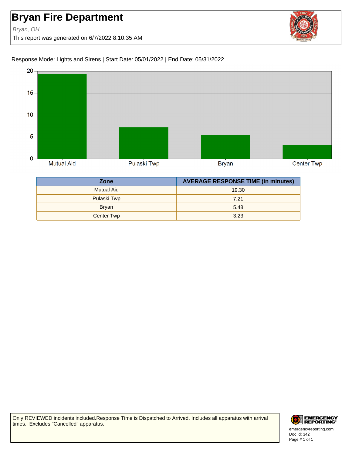Bryan, OH

This report was generated on 6/7/2022 8:10:35 AM



Response Mode: Lights and Sirens | Start Date: 05/01/2022 | End Date: 05/31/2022



| <b>Zone</b>       | <b>AVERAGE RESPONSE TIME (in minutes)</b> |  |
|-------------------|-------------------------------------------|--|
| <b>Mutual Aid</b> | 19.30                                     |  |
| Pulaski Twp       | 7.21                                      |  |
| <b>Bryan</b>      | 5.48                                      |  |
| Center Twp        | 3.23                                      |  |

Only REVIEWED incidents included.Response Time is Dispatched to Arrived. Includes all apparatus with arrival times. Excludes "Cancelled" apparatus.



Doc Id: 342 emergencyreporting.com Page # 1 of 1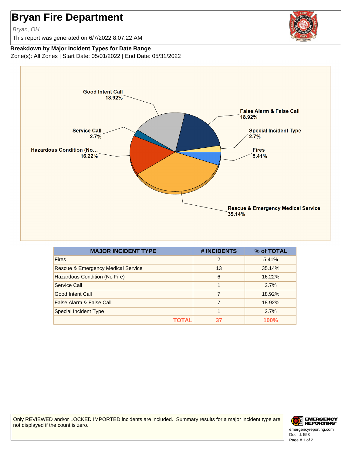Bryan, OH

This report was generated on 6/7/2022 8:07:22 AM



#### **Breakdown by Major Incident Types for Date Range**

Zone(s): All Zones | Start Date: 05/01/2022 | End Date: 05/31/2022



| <b>MAJOR INCIDENT TYPE</b>                    | # INCIDENTS   | % of TOTAL |
|-----------------------------------------------|---------------|------------|
| <b>Fires</b>                                  | $\mathcal{P}$ | 5.41%      |
| <b>Rescue &amp; Emergency Medical Service</b> | 13            | 35.14%     |
| Hazardous Condition (No Fire)                 | 6             | 16.22%     |
| Service Call                                  | 1             | 2.7%       |
| Good Intent Call                              | 7             | 18.92%     |
| False Alarm & False Call                      | 7             | 18.92%     |
| <b>Special Incident Type</b>                  |               | 2.7%       |
| ΤΩΤΑΙ                                         | 37            | 100%       |

Only REVIEWED and/or LOCKED IMPORTED incidents are included. Summary results for a major incident type are not displayed if the count is zero.



Doc Id: 553 emergencyreporting.com Page # 1 of 2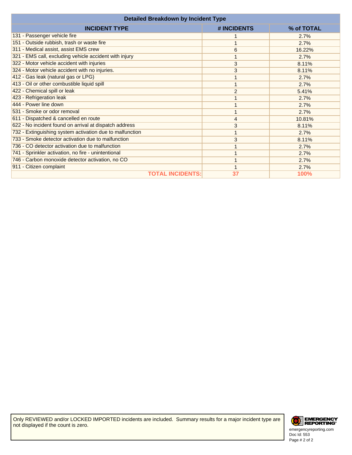| <b>Detailed Breakdown by Incident Type</b>               |             |             |  |  |  |
|----------------------------------------------------------|-------------|-------------|--|--|--|
| <b>INCIDENT TYPE</b>                                     | # INCIDENTS | % of TOTAL  |  |  |  |
| 131 - Passenger vehicle fire                             |             | 2.7%        |  |  |  |
| 151 - Outside rubbish, trash or waste fire               |             | 2.7%        |  |  |  |
| 311 - Medical assist, assist EMS crew                    | 6           | 16.22%      |  |  |  |
| 321 - EMS call, excluding vehicle accident with injury   |             | 2.7%        |  |  |  |
| 322 - Motor vehicle accident with injuries               | 3           | 8.11%       |  |  |  |
| 324 - Motor vehicle accident with no injuries.           | 3           | 8.11%       |  |  |  |
| 412 - Gas leak (natural gas or LPG)                      |             | 2.7%        |  |  |  |
| 413 - Oil or other combustible liquid spill              |             | 2.7%        |  |  |  |
| 422 - Chemical spill or leak                             | 2           | 5.41%       |  |  |  |
| 423 - Refrigeration leak                                 |             | 2.7%        |  |  |  |
| 444 - Power line down                                    |             | 2.7%        |  |  |  |
| 531 - Smoke or odor removal                              |             | 2.7%        |  |  |  |
| 611 - Dispatched & cancelled en route                    | 4           | 10.81%      |  |  |  |
| 622 - No incident found on arrival at dispatch address   | 3           | 8.11%       |  |  |  |
| 732 - Extinguishing system activation due to malfunction |             | 2.7%        |  |  |  |
| 733 - Smoke detector activation due to malfunction       | 3           | 8.11%       |  |  |  |
| 736 - CO detector activation due to malfunction          |             | 2.7%        |  |  |  |
| 741 - Sprinkler activation, no fire - unintentional      |             | 2.7%        |  |  |  |
| 746 - Carbon monoxide detector activation, no CO         |             | 2.7%        |  |  |  |
| 911 - Citizen complaint                                  |             | 2.7%        |  |  |  |
| <b>TOTAL INCIDENTS:</b>                                  | 37          | <b>100%</b> |  |  |  |



Doc Id: 553 emergencyreporting.com Page # 2 of 2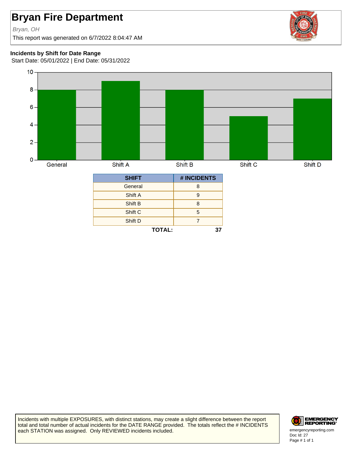#### Bryan, OH

This report was generated on 6/7/2022 8:04:47 AM



#### **Incidents by Shift for Date Range**

Start Date: 05/01/2022 | End Date: 05/31/2022



**TOTAL: 37**

Shift D 7

Incidents with multiple EXPOSURES, with distinct stations, may create a slight difference between the report total and total number of actual incidents for the DATE RANGE provided. The totals reflect the # INCIDENTS each STATION was assigned. Only REVIEWED incidents included.



Doc Id: 27 emergencyreporting.com Page # 1 of 1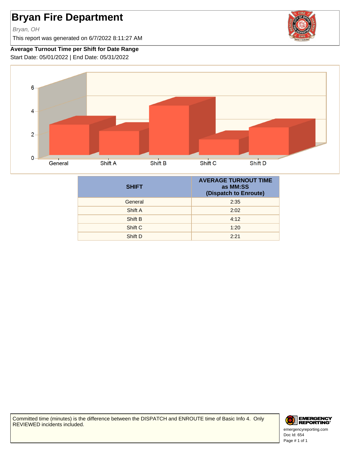Bryan, OH

This report was generated on 6/7/2022 8:11:27 AM



#### **Average Turnout Time per Shift for Date Range**

Start Date: 05/01/2022 | End Date: 05/31/2022



| <b>SHIFT</b> | <b>AVERAGE TURNOUT TIME</b><br>as MM:SS<br>(Dispatch to Enroute) |
|--------------|------------------------------------------------------------------|
| General      | 2:35                                                             |
| Shift A      | 2:02                                                             |
| Shift B      | 4:12                                                             |
| Shift C      | 1:20                                                             |
| Shift D      | 2:21                                                             |

Committed time (minutes) is the difference between the DISPATCH and ENROUTE time of Basic Info 4. Only REVIEWED incidents included.

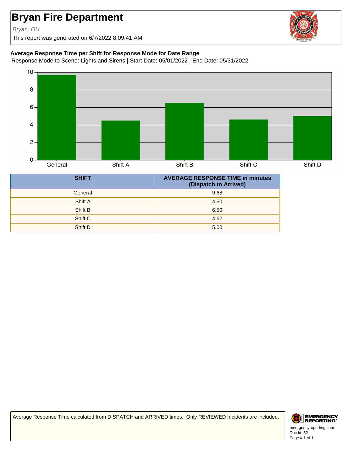Bryan, OH

This report was generated on 6/7/2022 8:09:41 AM

#### **Average Response Time per Shift for Response Mode for Date Range**

Response Mode to Scene: Lights and Sirens | Start Date: 05/01/2022 | End Date: 05/31/2022



| <b>SHIFT</b> | <b>AVERAGE RESPONSE TIME in minutes</b><br>(Dispatch to Arrived) |
|--------------|------------------------------------------------------------------|
| General      | 9.68                                                             |
| Shift A      | 4.50                                                             |
| Shift B      | 6.50                                                             |
| Shift C      | 4.62                                                             |
| Shift D      | 5.00                                                             |

Average Response Time calculated from DISPATCH and ARRIVED times. Only REVIEWED Incidents are included.



Doc Id: 52 emergencyreporting.com Page # 1 of 1

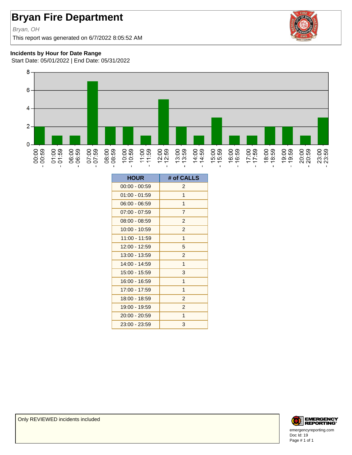#### Bryan, OH

This report was generated on 6/7/2022 8:05:52 AM



#### **Incidents by Hour for Date Range**

Start Date: 05/01/2022 | End Date: 05/31/2022



| <b>HOUR</b>     | # of CALLS     |
|-----------------|----------------|
| $00:00 - 00:59$ | $\overline{c}$ |
| $01:00 - 01:59$ | 1              |
| $06:00 - 06:59$ | 1              |
| $07:00 - 07:59$ | $\overline{7}$ |
| $08:00 - 08:59$ | $\overline{2}$ |
| 10:00 - 10:59   | $\overline{2}$ |
| 11:00 - 11:59   | 1              |
| 12:00 - 12:59   | 5              |
| 13:00 - 13:59   | $\overline{2}$ |
| 14:00 - 14:59   | $\mathbf{1}$   |
| 15:00 - 15:59   | 3              |
| 16:00 - 16:59   | $\mathbf{1}$   |
| 17:00 - 17:59   | 1              |
| 18:00 - 18:59   | $\overline{2}$ |
| 19:00 - 19:59   | $\overline{2}$ |
| 20:00 - 20:59   | 1              |
| 23:00 - 23:59   | 3              |

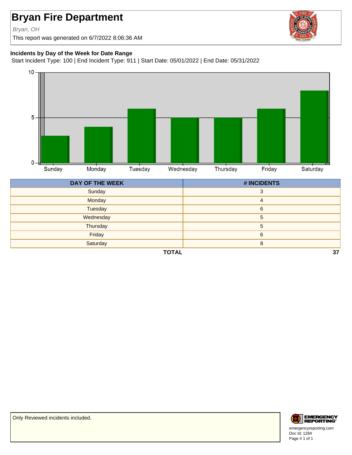Bryan, OH

This report was generated on 6/7/2022 8:06:36 AM



#### **Incidents by Day of the Week for Date Range**

Start Incident Type: 100 | End Incident Type: 911 | Start Date: 05/01/2022 | End Date: 05/31/2022



| <b>DAY OF THE WEEK</b> | # INCIDENTS |
|------------------------|-------------|
| Sunday                 | $\sim$      |
| Monday                 | 4           |
| Tuesday                | 6           |
| Wednesday              | 5           |
| Thursday               | 5           |
| Friday                 | 6           |
| Saturday               |             |
|                        |             |

**TOTAL 37**



Doc Id: 1284 emergencyreporting.com Page # 1 of 1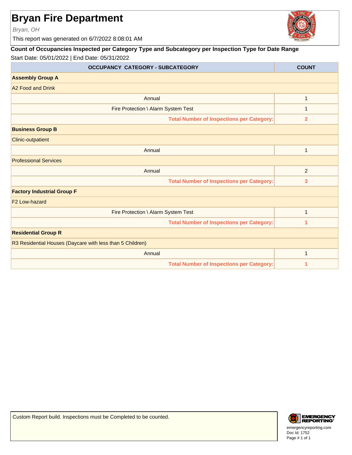Bryan, OH

This report was generated on 6/7/2022 8:08:01 AM

#### **Count of Occupancies Inspected per Category Type and Subcategory per Inspection Type for Date Range** Start Date: 05/01/2022 | End Date: 05/31/2022

| <b>OCCUPANCY CATEGORY - SUBCATEGORY</b>                   | <b>COUNT</b>   |
|-----------------------------------------------------------|----------------|
| <b>Assembly Group A</b>                                   |                |
| A <sub>2</sub> Food and Drink                             |                |
| Annual                                                    | $\mathbf{1}$   |
| Fire Protection \ Alarm System Test                       | $\mathbf{1}$   |
| Total Number of Inspections per Category:                 | $\overline{2}$ |
| <b>Business Group B</b>                                   |                |
| <b>Clinic-outpatient</b>                                  |                |
| Annual                                                    | $\mathbf{1}$   |
| <b>Professional Services</b>                              |                |
| Annual                                                    | $\overline{2}$ |
| <b>Total Number of Inspections per Category:</b>          | 3              |
| <b>Factory Industrial Group F</b>                         |                |
| F <sub>2</sub> Low-hazard                                 |                |
| Fire Protection \ Alarm System Test                       | $\mathbf{1}$   |
| <b>Total Number of Inspections per Category:</b>          | 1              |
| <b>Residential Group R</b>                                |                |
| R3 Residential Houses (Daycare with less than 5 Children) |                |
| Annual                                                    | $\mathbf{1}$   |
| <b>Total Number of Inspections per Category:</b>          | 1              |





Doc Id: 1752 emergencyreporting.com Page # 1 of 1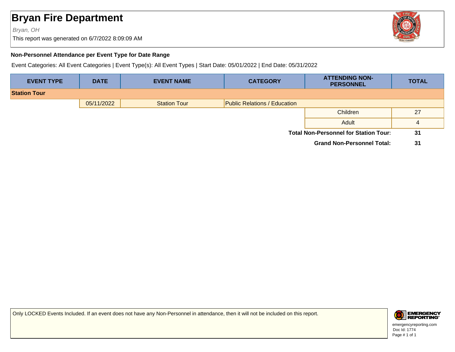#### Bryan, OH

This report was generated on 6/7/2022 8:09:09 AM



#### **Non-Personnel Attendance per Event Type for Date Range**

Event Categories: All Event Categories | Event Type(s): All Event Types | Start Date: 05/01/2022 | End Date: 05/31/2022

| <b>EVENT TYPE</b>   | <b>DATE</b> | <b>EVENT NAME</b>   | <b>CATEGORY</b>                     | <b>ATTENDING NON-</b><br><b>PERSONNEL</b>    | <b>TOTAL</b> |
|---------------------|-------------|---------------------|-------------------------------------|----------------------------------------------|--------------|
| <b>Station Tour</b> |             |                     |                                     |                                              |              |
|                     | 05/11/2022  | <b>Station Tour</b> | <b>Public Relations / Education</b> |                                              |              |
|                     |             |                     |                                     | Children                                     | 27           |
|                     |             |                     |                                     | Adult                                        | 4            |
|                     |             |                     |                                     | <b>Total Non-Personnel for Station Tour:</b> | 31           |
|                     |             |                     |                                     | <b>Grand Non-Personnel Total:</b>            | 31           |

Only LOCKED Events Included. If an event does not have any Non-Personnel in attendance, then it will not be included on this report.